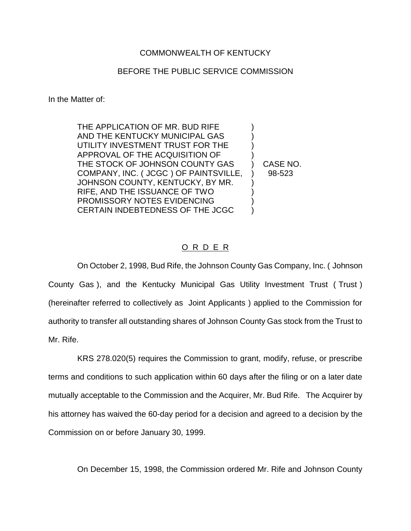## COMMONWEALTH OF KENTUCKY

## BEFORE THE PUBLIC SERVICE COMMISSION

In the Matter of:

THE APPLICATION OF MR. BUD RIFE AND THE KENTUCKY MUNICIPAL GAS ) UTILITY INVESTMENT TRUST FOR THE ) APPROVAL OF THE ACQUISITION OF ) THE STOCK OF JOHNSON COUNTY GAS (CASE NO. COMPANY, INC. (JCGC) OF PAINTSVILLE, ) 98-523 JOHNSON COUNTY, KENTUCKY, BY MR. RIFE, AND THE ISSUANCE OF TWO ) PROMISSORY NOTES EVIDENCING ) CERTAIN INDEBTEDNESS OF THE JCGC )

## O R D E R

On October 2, 1998, Bud Rife, the Johnson County Gas Company, Inc. ( Johnson County Gas ), and the Kentucky Municipal Gas Utility Investment Trust ( Trust ) (hereinafter referred to collectively as Joint Applicants ) applied to the Commission for authority to transfer all outstanding shares of Johnson County Gas stock from the Trust to Mr. Rife.

KRS 278.020(5) requires the Commission to grant, modify, refuse, or prescribe terms and conditions to such application within 60 days after the filing or on a later date mutually acceptable to the Commission and the Acquirer, Mr. Bud Rife. The Acquirer by his attorney has waived the 60-day period for a decision and agreed to a decision by the Commission on or before January 30, 1999.

On December 15, 1998, the Commission ordered Mr. Rife and Johnson County